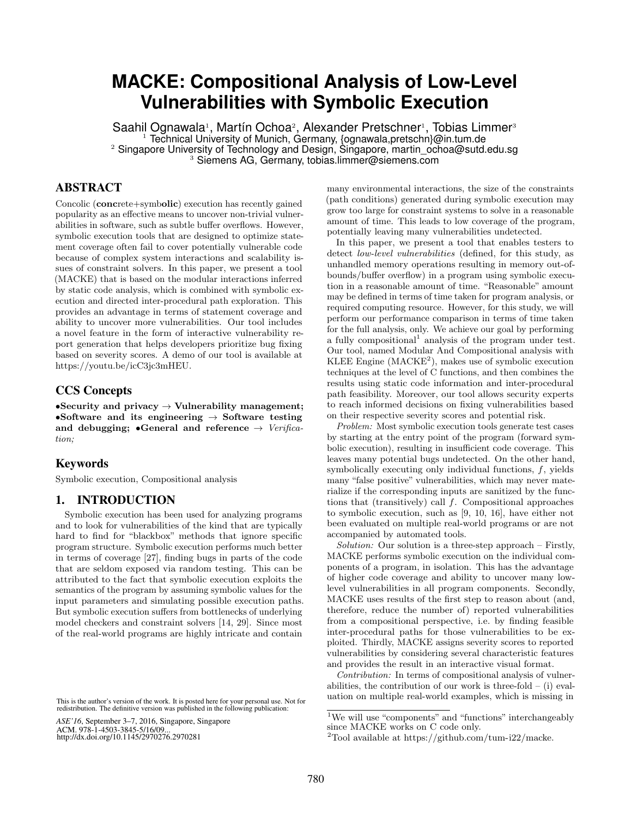# **MACKE: Compositional Analysis of Low-Level Vulnerabilities with Symbolic Execution**

Saahil Ognawala<sup>1</sup>, Martín Ochoa<sup>2</sup>, Alexander Pretschner<sup>1</sup>, Tobias Limmer<sup>3</sup><br><sup>1</sup> Technical University of Munich, Germany, {ognawala,pretschn}@in.tum.de <sup>2</sup> Singapore University of Technology and Design, Singapore, martin\_ochoa@sutd.edu.sg 3 Siemens AG, Germany, tobias.limmer@siemens.com

# ABSTRACT

Concolic (concrete+symbolic) execution has recently gained popularity as an effective means to uncover non-trivial vulnerabilities in software, such as subtle buffer overflows. However, symbolic execution tools that are designed to optimize statement coverage often fail to cover potentially vulnerable code because of complex system interactions and scalability issues of constraint solvers. In this paper, we present a tool (MACKE) that is based on the modular interactions inferred by static code analysis, which is combined with symbolic execution and directed inter-procedural path exploration. This provides an advantage in terms of statement coverage and ability to uncover more vulnerabilities. Our tool includes a novel feature in the form of interactive vulnerability report generation that helps developers prioritize bug fixing based on severity scores. A demo of our tool is available at [https://youtu.be/icC3jc3mHEU.](https://youtu.be/icC3jc3mHEU)

## CCS Concepts

•Security and privacy  $\rightarrow$  Vulnerability management; •Software and its engineering  $\rightarrow$  Software testing and debugging;  $\bullet$ General and reference  $\rightarrow$  *Verification;*

## Keywords

Symbolic execution, Compositional analysis

## 1. INTRODUCTION

Symbolic execution has been used for analyzing programs and to look for vulnerabilities of the kind that are typically hard to find for "blackbox" methods that ignore specific program structure. Symbolic execution performs much better in terms of coverage [\[27\]](#page-5-0), finding bugs in parts of the code that are seldom exposed via random testing. This can be attributed to the fact that symbolic execution exploits the semantics of the program by assuming symbolic values for the input parameters and simulating possible execution paths. But symbolic execution suffers from bottlenecks of underlying model checkers and constraint solvers [\[14,](#page-5-1) [29\]](#page-5-2). Since most of the real-world programs are highly intricate and contain

*ASE'16*, September 3–7, 2016, Singapore, Singapore ACM. 978-1-4503-3845-5/16/09... http://dx.doi.org/10.1145/2970276.2970281

many environmental interactions, the size of the constraints (path conditions) generated during symbolic execution may grow too large for constraint systems to solve in a reasonable amount of time. This leads to low coverage of the program, potentially leaving many vulnerabilities undetected.

In this paper, we present a tool that enables testers to detect *low-level vulnerabilities* (defined, for this study, as unhandled memory operations resulting in memory out-ofbounds/buffer overflow) in a program using symbolic execution in a reasonable amount of time. "Reasonable" amount may be defined in terms of time taken for program analysis, or required computing resource. However, for this study, we will perform our performance comparison in terms of time taken for the full analysis, only. We achieve our goal by performing a fully compositional<sup>[1](#page-0-0)</sup> analysis of the program under test. Our tool, named Modular And Compositional analysis with KLEE Engine  $(MACKE<sup>2</sup>)$  $(MACKE<sup>2</sup>)$  $(MACKE<sup>2</sup>)$ , makes use of symbolic execution techniques at the level of C functions, and then combines the results using static code information and inter-procedural path feasibility. Moreover, our tool allows security experts to reach informed decisions on fixing vulnerabilities based on their respective severity scores and potential risk.

*Problem:* Most symbolic execution tools generate test cases by starting at the entry point of the program (forward symbolic execution), resulting in insufficient code coverage. This leaves many potential bugs undetected. On the other hand, symbolically executing only individual functions, *f*, yields many "false positive" vulnerabilities, which may never materialize if the corresponding inputs are sanitized by the functions that (transitively) call *f*. Compositional approaches to symbolic execution, such as [\[9,](#page-5-3) [10,](#page-5-4) [16\]](#page-5-5), have either not been evaluated on multiple real-world programs or are not accompanied by automated tools.

*Solution:* Our solution is a three-step approach – Firstly, MACKE performs symbolic execution on the individual components of a program, in isolation. This has the advantage of higher code coverage and ability to uncover many lowlevel vulnerabilities in all program components. Secondly, MACKE uses results of the first step to reason about (and, therefore, reduce the number of) reported vulnerabilities from a compositional perspective, i.e. by finding feasible inter-procedural paths for those vulnerabilities to be exploited. Thirdly, MACKE assigns severity scores to reported vulnerabilities by considering several characteristic features and provides the result in an interactive visual format.

*Contribution:* In terms of compositional analysis of vulnerabilities, the contribution of our work is three-fold  $-$  (i) evaluation on multiple real-world examples, which is missing in

This is the author's version of the work. It is posted here for your personal use. Not for redistribution. The definitive version was published in the following publication:

<span id="page-0-0"></span><sup>&</sup>lt;sup>1</sup>We will use "components" and "functions" interchangeably since MACKE works on C code only.

<span id="page-0-1"></span><sup>&</sup>lt;sup>2</sup>Tool available at [https://github.com/tum-i22/macke.](https://github.com/tum-i22/macke)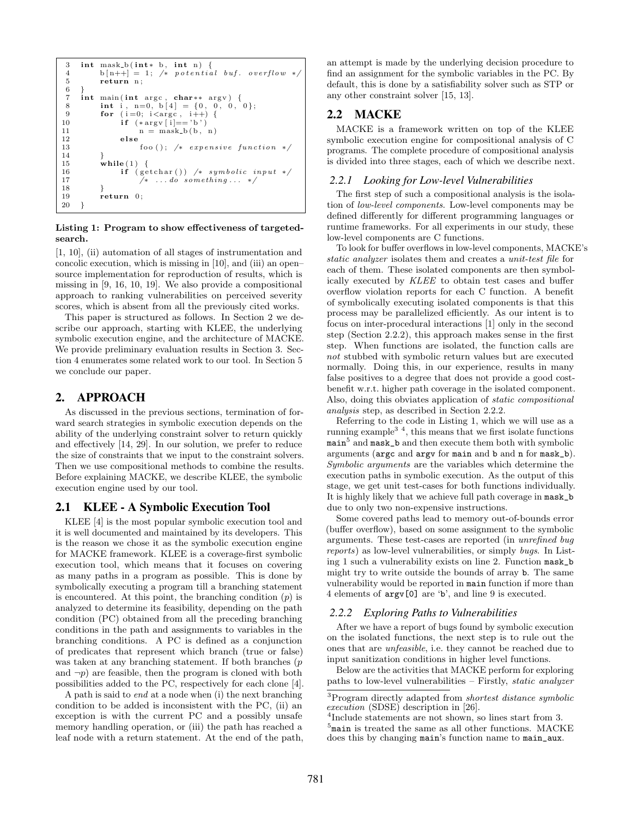```
3 int mask_b(int * b, int n) {<br>4 b[n++] = 1; /* potentia
 4 b [n++] = 1; /* potential buf. overflow *
               return n;
 6 }
 7 int main (int argc, char** argv) {<br>8 int i, n=0, b[4] = {0, 0, 0, 0};
 8 int i, n=0, b[4] = {0, 0, 0,<br>9 for (i=0; i<argc, i++) {
9 for (i=0; i<arg c, i++) {<br>10 if (*arg y[i]=') b'}
10 \mathbf{if} (\ast \arg v[i] == 'b')<br>
11 \mathbf{n} = \text{mask}_b(b)11 n = mask_b(b, n)<br>12 else
\begin{array}{ccc} 12 & \hspace{1.6cm} & \hspace{1.6cm} & \hspace{1.6cm} & \hspace{1.6cm} & \hspace{1.6cm} & \hspace{1.6cm} & \hspace{1.6cm} & \hspace{1.6cm} & \hspace{1.6cm} & \hspace{1.6cm} & \hspace{1.6cm} & \hspace{1.6cm} & \hspace{1.6cm} & \hspace{1.6cm} \end{array}foo ( ); /* expensive function */
14 }
15 while (1) {<br>16 if (ge
16 if (getchar ()) /* symbolic input */<br>17 /* ...do something... */
17 		 /* ... do something ... */<br>18 		 }
18 }
19 return 0;
20 }
```
#### Listing 1: Program to show effectiveness of targetedsearch.

[\[1,](#page-5-6) [10\]](#page-5-4), (ii) automation of all stages of instrumentation and concolic execution, which is missing in [\[10\]](#page-5-4), and (iii) an open– source implementation for reproduction of results, which is missing in [\[9,](#page-5-3) [16,](#page-5-5) [10,](#page-5-4) [19\]](#page-5-7). We also provide a compositional approach to ranking vulnerabilities on perceived severity scores, which is absent from all the previously cited works.

This paper is structured as follows. In Section [2](#page-1-0) we describe our approach, starting with KLEE, the underlying symbolic execution engine, and the architecture of MACKE. We provide preliminary evaluation results in Section [3.](#page-3-0) Section [4](#page-4-0) enumerates some related work to our tool. In Section [5](#page-4-1) we conclude our paper.

## <span id="page-1-0"></span>2. APPROACH

As discussed in the previous sections, termination of forward search strategies in symbolic execution depends on the ability of the underlying constraint solver to return quickly and effectively  $[14, 29]$  $[14, 29]$ . In our solution, we prefer to reduce the size of constraints that we input to the constraint solvers. Then we use compositional methods to combine the results. Before explaining MACKE, we describe KLEE, the symbolic execution engine used by our tool.

## 2.1 KLEE - A Symbolic Execution Tool

KLEE [\[4\]](#page-5-8) is the most popular symbolic execution tool and it is well documented and maintained by its developers. This is the reason we chose it as the symbolic execution engine for MACKE framework. KLEE is a coverage-first symbolic execution tool, which means that it focuses on covering as many paths in a program as possible. This is done by symbolically executing a program till a branching statement is encountered. At this point, the branching condition (*p*) is analyzed to determine its feasibility, depending on the path condition (PC) obtained from all the preceding branching conditions in the path and assignments to variables in the branching conditions. A PC is defined as a conjunction of predicates that represent which branch (true or false) was taken at any branching statement. If both branches (*p* and  $\neg p$ ) are feasible, then the program is cloned with both possibilities added to the PC, respectively for each clone [\[4\]](#page-5-8).

A path is said to *end* at a node when (i) the next branching condition to be added is inconsistent with the PC, (ii) an exception is with the current PC and a possibly unsafe memory handling operation, or (iii) the path has reached a leaf node with a return statement. At the end of the path, an attempt is made by the underlying decision procedure to find an assignment for the symbolic variables in the PC. By default, this is done by a satisfiability solver such as STP or any other constraint solver [\[15,](#page-5-9) [13\]](#page-5-10).

## 2.2 MACKE

MACKE is a framework written on top of the KLEE symbolic execution engine for compositional analysis of C programs. The complete procedure of compositional analysis is divided into three stages, each of which we describe next.

#### <span id="page-1-6"></span>*2.2.1 Looking for Low-level Vulnerabilities*

The first step of such a compositional analysis is the isolation of *low-level components*. Low-level components may be defined differently for different programming languages or runtime frameworks. For all experiments in our study, these low-level components are C functions.

To look for buffer overflows in low-level components, MACKE's *static analyzer* isolates them and creates a *unit-test file* for each of them. These isolated components are then symbolically executed by *KLEE* to obtain test cases and buffer overflow violation reports for each C function. A benefit of symbolically executing isolated components is that this process may be parallelized efficiently. As our intent is to focus on inter-procedural interactions [\[1\]](#page-5-6) only in the second step (Section [2.2.2\)](#page-1-1), this approach makes sense in the first step. When functions are isolated, the function calls are *not* stubbed with symbolic return values but are executed normally. Doing this, in our experience, results in many false positives to a degree that does not provide a good costbenefit w.r.t. higher path coverage in the isolated component. Also, doing this obviates application of *static compositional analysis* step, as described in Section [2.2.2.](#page-1-1)

Referring to the code in Listing [1,](#page-1-2) which we will use as a running example[3](#page-1-3) [4](#page-1-4), this means that we first isolate functions  $\mathtt{main}^5$  $\mathtt{main}^5$  and  $\mathtt{mask\_b}$  and then execute them both with symbolic arguments (argc and argv for main and b and n for mask\_b). *Symbolic arguments* are the variables which determine the execution paths in symbolic execution. As the output of this stage, we get unit test-cases for both functions individually. It is highly likely that we achieve full path coverage in mask\_b due to only two non-expensive instructions.

Some covered paths lead to memory out-of-bounds error (buffer overflow), based on some assignment to the symbolic arguments. These test-cases are reported (in *unrefined bug reports*) as low-level vulnerabilities, or simply *bugs*. In Listing [1](#page-1-2) such a vulnerability exists on line 2. Function mask\_b might try to write outside the bounds of array b. The same vulnerability would be reported in main function if more than 4 elements of argv[0] are 'b', and line 9 is executed.

#### <span id="page-1-1"></span>*2.2.2 Exploring Paths to Vulnerabilities*

After we have a report of bugs found by symbolic execution on the isolated functions, the next step is to rule out the ones that are *unfeasible*, i.e. they cannot be reached due to input sanitization conditions in higher level functions.

Below are the activities that MACKE perform for exploring paths to low-level vulnerabilities – Firstly, *static analyzer*

<span id="page-1-3"></span><sup>3</sup>Program directly adapted from *shortest distance symbolic execution* (SDSE) description in [\[26\]](#page-5-11).<br><sup>4</sup>Include statements are not shown, so lines start from 3.

<span id="page-1-4"></span>

<span id="page-1-5"></span> $5$ main is treated the same as all other functions. MACKE does this by changing main's function name to main\_aux.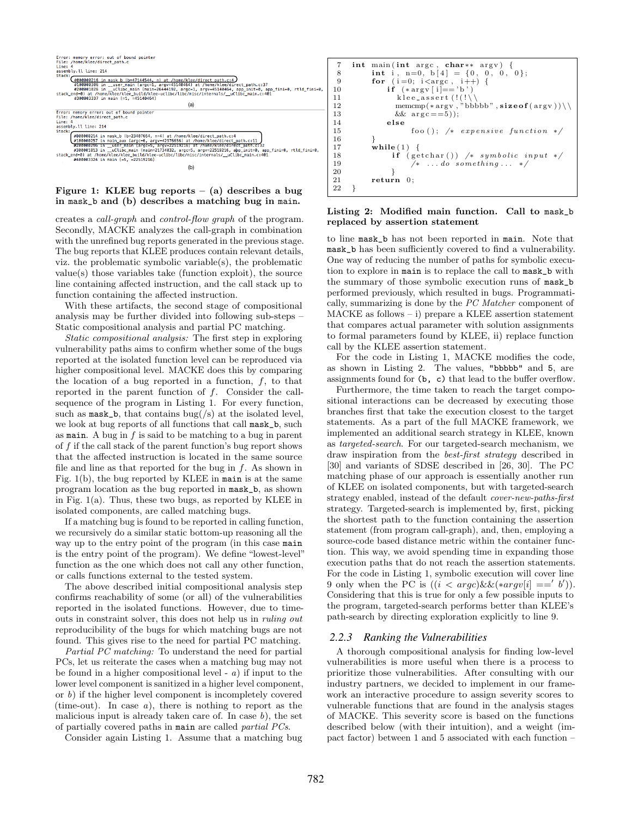

#### <span id="page-2-0"></span>Figure 1: KLEE bug reports  $-$  (a) describes a bug in mask\_b and (b) describes a matching bug in main.

creates a *call-graph* and *control-flow graph* of the program. Secondly, MACKE analyzes the call-graph in combination with the unrefined bug reports generated in the previous stage. The bug reports that KLEE produces contain relevant details, viz. the problematic symbolic variable(s), the problematic value(s) those variables take (function exploit), the source line containing affected instruction, and the call stack up to function containing the affected instruction.

With these artifacts, the second stage of compositional analysis may be further divided into following sub-steps – Static compositional analysis and partial PC matching.

*Static compositional analysis:* The first step in exploring vulnerability paths aims to confirm whether some of the bugs reported at the isolated function level can be reproduced via higher compositional level. MACKE does this by comparing the location of a bug reported in a function, *f*, to that reported in the parent function of *f*. Consider the callsequence of the program in Listing [1.](#page-1-2) For every function, such as  $\texttt{mask\_b}$ , that contains bug(/s) at the isolated level, we look at bug reports of all functions that call mask\_b, such as main. A bug in *f* is said to be matching to a bug in parent of *f* if the call stack of the parent function's bug report shows that the affected instruction is located in the same source file and line as that reported for the bug in *f*. As shown in Fig. [1\(](#page-2-0)b), the bug reported by KLEE in main is at the same program location as the bug reported in mask\_b, as shown in Fig. [1\(](#page-2-0)a). Thus, these two bugs, as reported by KLEE in isolated components, are called matching bugs.

If a matching bug is found to be reported in calling function, we recursively do a similar static bottom-up reasoning all the way up to the entry point of the program (in this case main is the entry point of the program). We define "lowest-level" function as the one which does not call any other function, or calls functions external to the tested system.

The above described initial compositional analysis step confirms reachability of some (or all) of the vulnerabilities reported in the isolated functions. However, due to timeouts in constraint solver, this does not help us in *ruling out* reproducibility of the bugs for which matching bugs are not found. This gives rise to the need for partial PC matching.

*Partial PC matching:* To understand the need for partial PCs, let us reiterate the cases when a matching bug may not be found in a higher compositional level - *a*) if input to the lower level component is sanitized in a higher level component, or *b*) if the higher level component is incompletely covered (time-out). In case *a*), there is nothing to report as the malicious input is already taken care of. In case *b*), the set of partially covered paths in main are called *partial PCs*.

Consider again Listing [1.](#page-1-2) Assume that a matching bug

```
7 int main (int argc, char** argv) {<br>8 int i, n=0, b[4] = {0, 0, 0, 0};
 8 int i, n=0, b[4] = {0, 0, 0,<br>9 for (i=0; i<argc, i++) {
9 for (i=0; i < arg c, i++) {<br>
10 if (*arg y[i]=')}
10 \mathbf{if} (\ast \arg v[i] == 'b')<br>
\text{kle} = assert (!(!)11 k l e <u>e</u> assert (!(!\<br>12 memcmp(*argy,"b)
12 memcmp(*argv<sup>', "phbbbb"</sup>, sizeof(argv))\\<br>13 \&& \arg c = 5));
                             && arg c ==5);
\begin{array}{ccc} 14 & \hspace{1.6cm} & \hspace{1.6cm} & \hspace{1.6cm} & \hspace{1.6cm} & \hspace{1.6cm} & \hspace{1.6cm} & \hspace{1.6cm} & \hspace{1.6cm} & \hspace{1.6cm} & \hspace{1.6cm} & \hspace{1.6cm} & \hspace{1.6cm} & \hspace{1.6cm} \end{array}1500(); /* expensive function */
16 }
17 while (1) {
18 if \left( \text{getchar} \left( \right) \right) \neq \text{symbolic input } */<br>
19 \left( * \ldots \text{do} \text{something} \ldots * \right)19 /⇤ . . . do something . . . ⇤/
20 }
21 return 0 ;
22 }
```
#### Listing 2: Modified main function. Call to mask\_b replaced by assertion statement

to line mask\_b has not been reported in main. Note that mask\_b has been sufficiently covered to find a vulnerability. One way of reducing the number of paths for symbolic execution to explore in main is to replace the call to mask\_b with the summary of those symbolic execution runs of mask\_b performed previously, which resulted in bugs. Programmatically, summarizing is done by the *PC Matcher* component of MACKE as follows – i) prepare a KLEE assertion statement that compares actual parameter with solution assignments to formal parameters found by KLEE, ii) replace function call by the KLEE assertion statement.

For the code in Listing [1,](#page-1-2) MACKE modifies the code, as shown in Listing [2.](#page-2-1) The values, "bbbbb" and 5, are assignments found for  $(b, c)$  that lead to the buffer overflow.

Furthermore, the time taken to reach the target compositional interactions can be decreased by executing those branches first that take the execution closest to the target statements. As a part of the full MACKE framework, we implemented an additional search strategy in KLEE, known as *targeted-search*. For our targeted-search mechanism, we draw inspiration from the *best-first strategy* described in [\[30\]](#page-5-12) and variants of SDSE described in [\[26,](#page-5-11) [30\]](#page-5-12). The PC matching phase of our approach is essentially another run of KLEE on isolated components, but with targeted-search strategy enabled, instead of the default *cover-new-paths-first* strategy. Targeted-search is implemented by, first, picking the shortest path to the function containing the assertion statement (from program call-graph), and, then, employing a source-code based distance metric within the container function. This way, we avoid spending time in expanding those execution paths that do not reach the assertion statements. For the code in Listing [1,](#page-1-2) symbolic execution will cover line 9 only when the PC is  $((i < argc) \&\&(*argv[i] ==' b')).$ Considering that this is true for only a few possible inputs to the program, targeted-search performs better than KLEE's path-search by directing exploration explicitly to line 9.

### *2.2.3 Ranking the Vulnerabilities*

A thorough compositional analysis for finding low-level vulnerabilities is more useful when there is a process to prioritize those vulnerabilities. After consulting with our industry partners, we decided to implement in our framework an interactive procedure to assign severity scores to vulnerable functions that are found in the analysis stages of MACKE. This severity score is based on the functions described below (with their intuition), and a weight (impact factor) between 1 and 5 associated with each function –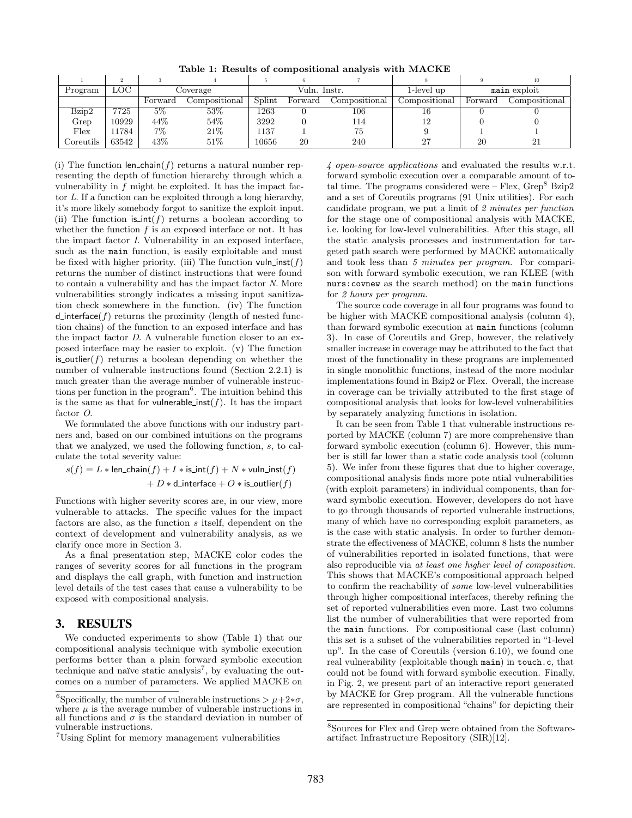<span id="page-3-2"></span>Table 1: Results of compositional analysis with MACKE

|                                      |       |          |               |              |         |               |               |              | 10                         |
|--------------------------------------|-------|----------|---------------|--------------|---------|---------------|---------------|--------------|----------------------------|
| Program                              | LOC   | Coverage |               | Vuln. Instr. |         |               | 1-level up    | main exploit |                            |
|                                      |       | Forward  | Compositional | Splint       | Forward | Compositional | Compositional | Forward      | $\complement$ ompositional |
| Bzip2                                | 7725  | $5\%$    | 53%           | 1263         |         | 106           | Iб            |              |                            |
| Grep                                 | 10929 | 44%      | 54\%          | 3292         |         | 114           |               |              |                            |
| Flex                                 | 1784  | 7%       | 21\%          | 1137         |         | 75            |               |              |                            |
| $\mathop{{\rm \mathcal{C}oreutils}}$ | 63542 | 43%      | 51%           | 10656        | 20      | 240           | רח            | 20           |                            |

(i) The function len\_chain( $f$ ) returns a natural number representing the depth of function hierarchy through which a vulnerability in *f* might be exploited. It has the impact factor *L*. If a function can be exploited through a long hierarchy, it's more likely somebody forgot to sanitize the exploit input. (ii) The function  $\operatorname{is-int}(f)$  returns a boolean according to whether the function  $f$  is an exposed interface or not. It has the impact factor *I*. Vulnerability in an exposed interface, such as the main function, is easily exploitable and must be fixed with higher priority. (iii) The function  $vuh_inst(f)$ returns the number of distinct instructions that were found to contain a vulnerability and has the impact factor *N*. More vulnerabilities strongly indicates a missing input sanitization check somewhere in the function. (iv) The function d interface( $f$ ) returns the proximity (length of nested function chains) of the function to an exposed interface and has the impact factor *D*. A vulnerable function closer to an exposed interface may be easier to exploit. (v) The function is **outlier**( $f$ ) returns a boolean depending on whether the number of vulnerable instructions found (Section [2.2.1\)](#page-1-6) is much greater than the average number of vulnerable instruc-tions per function in the program<sup>[6](#page-3-1)</sup>. The intuition behind this is the same as that for vulnerable inst( $f$ ). It has the impact factor *O*.

We formulated the above functions with our industry partners and, based on our combined intuitions on the programs that we analyzed, we used the following function, *s*, to calculate the total severity value:

$$
s(f) = L * len\_chain(f) + I * is\_int(f) + N * vuln\_inst(f)
$$

$$
+ D * d\_interface + O * is\_outlier(f)
$$

Functions with higher severity scores are, in our view, more vulnerable to attacks. The specific values for the impact factors are also, as the function *s* itself, dependent on the context of development and vulnerability analysis, as we clarify once more in Section [3.](#page-3-0)

As a final presentation step, MACKE color codes the ranges of severity scores for all functions in the program and displays the call graph, with function and instruction level details of the test cases that cause a vulnerability to be exposed with compositional analysis.

## <span id="page-3-0"></span>3. RESULTS

We conducted experiments to show (Table [1\)](#page-3-2) that our compositional analysis technique with symbolic execution performs better than a plain forward symbolic execution technique and naïve static analysis<sup>[7](#page-3-3)</sup>, by evaluating the outcomes on a number of parameters. We applied MACKE on

*4 open-source applications* and evaluated the results w.r.t. forward symbolic execution over a comparable amount of total time. The programs considered were  $-$  Flex,  $Grep<sup>8</sup>$  $Grep<sup>8</sup>$  $Grep<sup>8</sup>$  Bzip2 and a set of Coreutils programs (91 Unix utilities). For each candidate program, we put a limit of *2 minutes per function* for the stage one of compositional analysis with MACKE, i.e. looking for low-level vulnerabilities. After this stage, all the static analysis processes and instrumentation for targeted path search were performed by MACKE automatically and took less than *5 minutes per program*. For comparison with forward symbolic execution, we ran KLEE (with nurs:covnew as the search method) on the main functions for *2 hours per program*.

The source code coverage in all four programs was found to be higher with MACKE compositional analysis (column 4), than forward symbolic execution at main functions (column 3). In case of Coreutils and Grep, however, the relatively smaller increase in coverage may be attributed to the fact that most of the functionality in these programs are implemented in single monolithic functions, instead of the more modular implementations found in Bzip2 or Flex. Overall, the increase in coverage can be trivially attributed to the first stage of compositional analysis that looks for low-level vulnerabilities by separately analyzing functions in isolation.

It can be seen from Table [1](#page-3-2) that vulnerable instructions reported by MACKE (column 7) are more comprehensive than forward symbolic execution (column 6). However, this number is still far lower than a static code analysis tool (column 5). We infer from these figures that due to higher coverage, compositional analysis finds more pote ntial vulnerabilities (with exploit parameters) in individual components, than forward symbolic execution. However, developers do not have to go through thousands of reported vulnerable instructions, many of which have no corresponding exploit parameters, as is the case with static analysis. In order to further demonstrate the effectiveness of MACKE, column 8 lists the number of vulnerabilities reported in isolated functions, that were also reproducible via *at least one higher level of composition*. This shows that MACKE's compositional approach helped to confirm the reachability of *some* low-level vulnerabilities through higher compositional interfaces, thereby refining the set of reported vulnerabilities even more. Last two columns list the number of vulnerabilities that were reported from the main functions. For compositional case (last column) this set is a subset of the vulnerabilities reported in "1-level up". In the case of Coreutils (version 6.10), we found one real vulnerability (exploitable though main) in touch.c, that could not be found with forward symbolic execution. Finally, in Fig. [2,](#page-4-2) we present part of an interactive report generated by MACKE for Grep program. All the vulnerable functions are represented in compositional "chains" for depicting their

<span id="page-3-1"></span><sup>&</sup>lt;sup>6</sup>Specifically, the number of vulnerable instructions  $> \mu + 2*\sigma$ , where  $\mu$  is the average number of vulnerable instructions in all functions and  $\sigma$  is the standard deviation in number of vulnerable instructions.

<span id="page-3-3"></span><sup>7</sup>Using Splint for memory management vulnerabilities

<span id="page-3-4"></span><sup>8</sup>Sources for Flex and Grep were obtained from the Softwareartifact Infrastructure Repository (SIR)[\[12\]](#page-5-13).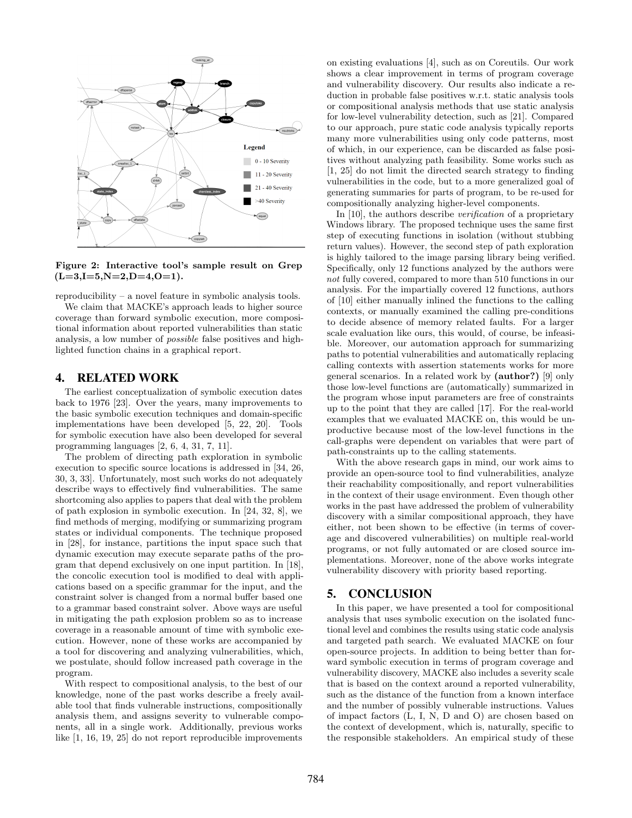

<span id="page-4-2"></span>Figure 2: Interactive tool's sample result on Grep  $(L=3,I=5,N=2,D=4,0=1).$ 

reproducibility – a novel feature in symbolic analysis tools.

We claim that MACKE's approach leads to higher source coverage than forward symbolic execution, more compositional information about reported vulnerabilities than static analysis, a low number of *possible* false positives and highlighted function chains in a graphical report.

#### <span id="page-4-0"></span>4. RELATED WORK

The earliest conceptualization of symbolic execution dates back to 1976 [\[23\]](#page-5-14). Over the years, many improvements to the basic symbolic execution techniques and domain-specific implementations have been developed [\[5,](#page-5-15) [22,](#page-5-16) [20\]](#page-5-17). Tools for symbolic execution have also been developed for several programming languages [\[2,](#page-5-18) [6,](#page-5-19) [4,](#page-5-8) [31,](#page-5-20) [7,](#page-5-21) [11\]](#page-5-22).

The problem of directing path exploration in symbolic execution to specific source locations is addressed in [\[34,](#page-5-23) [26,](#page-5-11) [30,](#page-5-12) [3,](#page-5-24) [33\]](#page-5-25). Unfortunately, most such works do not adequately describe ways to effectively find vulnerabilities. The same shortcoming also applies to papers that deal with the problem of path explosion in symbolic execution. In [\[24,](#page-5-26) [32,](#page-5-27) [8\]](#page-5-28), we find methods of merging, modifying or summarizing program states or individual components. The technique proposed in [\[28\]](#page-5-29), for instance, partitions the input space such that dynamic execution may execute separate paths of the program that depend exclusively on one input partition. In [\[18\]](#page-5-30), the concolic execution tool is modified to deal with applications based on a specific grammar for the input, and the constraint solver is changed from a normal buffer based one to a grammar based constraint solver. Above ways are useful in mitigating the path explosion problem so as to increase coverage in a reasonable amount of time with symbolic execution. However, none of these works are accompanied by a tool for discovering and analyzing vulnerabilities, which, we postulate, should follow increased path coverage in the program.

With respect to compositional analysis, to the best of our knowledge, none of the past works describe a freely available tool that finds vulnerable instructions, compositionally analysis them, and assigns severity to vulnerable components, all in a single work. Additionally, previous works like [\[1,](#page-5-6) [16,](#page-5-5) [19,](#page-5-7) [25\]](#page-5-31) do not report reproducible improvements on existing evaluations [\[4\]](#page-5-8), such as on Coreutils. Our work shows a clear improvement in terms of program coverage and vulnerability discovery. Our results also indicate a reduction in probable false positives w.r.t. static analysis tools or compositional analysis methods that use static analysis for low-level vulnerability detection, such as [\[21\]](#page-5-32). Compared to our approach, pure static code analysis typically reports many more vulnerabilities using only code patterns, most of which, in our experience, can be discarded as false positives without analyzing path feasibility. Some works such as [\[1,](#page-5-6) [25\]](#page-5-31) do not limit the directed search strategy to finding vulnerabilities in the code, but to a more generalized goal of generating summaries for parts of program, to be re-used for compositionally analyzing higher-level components.

In [\[10\]](#page-5-4), the authors describe *verification* of a proprietary Windows library. The proposed technique uses the same first step of executing functions in isolation (without stubbing return values). However, the second step of path exploration is highly tailored to the image parsing library being verified. Specifically, only 12 functions analyzed by the authors were *not* fully covered, compared to more than 510 functions in our analysis. For the impartially covered 12 functions, authors of [\[10\]](#page-5-4) either manually inlined the functions to the calling contexts, or manually examined the calling pre-conditions to decide absence of memory related faults. For a larger scale evaluation like ours, this would, of course, be infeasible. Moreover, our automation approach for summarizing paths to potential vulnerabilities and automatically replacing calling contexts with assertion statements works for more general scenarios. In a related work by [\(author?\)](#page-5-3) [\[9\]](#page-5-3) only those low-level functions are (automatically) summarized in the program whose input parameters are free of constraints up to the point that they are called [\[17\]](#page-5-33). For the real-world examples that we evaluated MACKE on, this would be unproductive because most of the low-level functions in the call-graphs were dependent on variables that were part of path-constraints up to the calling statements.

With the above research gaps in mind, our work aims to provide an open-source tool to find vulnerabilities, analyze their reachability compositionally, and report vulnerabilities in the context of their usage environment. Even though other works in the past have addressed the problem of vulnerability discovery with a similar compositional approach, they have either, not been shown to be effective (in terms of coverage and discovered vulnerabilities) on multiple real-world programs, or not fully automated or are closed source implementations. Moreover, none of the above works integrate vulnerability discovery with priority based reporting.

## <span id="page-4-1"></span>5. CONCLUSION

In this paper, we have presented a tool for compositional analysis that uses symbolic execution on the isolated functional level and combines the results using static code analysis and targeted path search. We evaluated MACKE on four open-source projects. In addition to being better than forward symbolic execution in terms of program coverage and vulnerability discovery, MACKE also includes a severity scale that is based on the context around a reported vulnerability, such as the distance of the function from a known interface and the number of possibly vulnerable instructions. Values of impact factors (L, I, N, D and O) are chosen based on the context of development, which is, naturally, specific to the responsible stakeholders. An empirical study of these